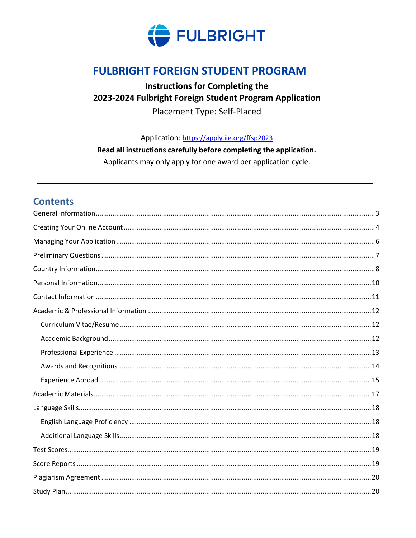

# **FULBRIGHT FOREIGN STUDENT PROGRAM**

### **Instructions for Completing the** 2023-2024 Fulbright Foreign Student Program Application Placement Type: Self-Placed

Application: https://apply.iie.org/ffsp2023

Read all instructions carefully before completing the application.

Applicants may only apply for one award per application cycle.

### **Contents**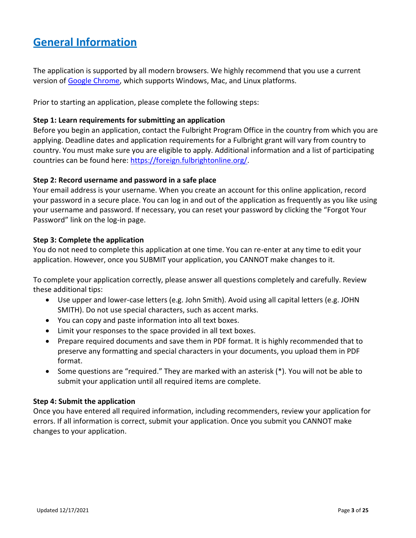# <span id="page-2-0"></span>**General Information**

The application is supported by all modern browsers. We highly recommend that you use a current version of [Google Chrome,](https://www.google.com/chrome/) which supports Windows, Mac, and Linux platforms.

Prior to starting an application, please complete the following steps:

#### **Step 1: Learn requirements for submitting an application**

Before you begin an application, contact the Fulbright Program Office in the country from which you are applying. Deadline dates and application requirements for a Fulbright grant will vary from country to country. You must make sure you are eligible to apply. Additional information and a list of participating countries can be found here: [https://foreign.fulbrightonline.org/.](https://foreign.fulbrightonline.org/)

#### **Step 2: Record username and password in a safe place**

Your email address is your username. When you create an account for this online application, record your password in a secure place. You can log in and out of the application as frequently as you like using your username and password. If necessary, you can reset your password by clicking the "Forgot Your Password" link on the log-in page.

#### **Step 3: Complete the application**

You do not need to complete this application at one time. You can re-enter at any time to edit your application. However, once you SUBMIT your application, you CANNOT make changes to it.

To complete your application correctly, please answer all questions completely and carefully. Review these additional tips:

- Use upper and lower-case letters (e.g. John Smith). Avoid using all capital letters (e.g. JOHN SMITH). Do not use special characters, such as accent marks.
- You can copy and paste information into all text boxes.
- Limit your responses to the space provided in all text boxes.
- Prepare required documents and save them in PDF format. It is highly recommended that to preserve any formatting and special characters in your documents, you upload them in PDF format.
- Some questions are "required." They are marked with an asterisk (\*). You will not be able to submit your application until all required items are complete.

#### **Step 4: Submit the application**

Once you have entered all required information, including recommenders, review your application for errors. If all information is correct, submit your application. Once you submit you CANNOT make changes to your application.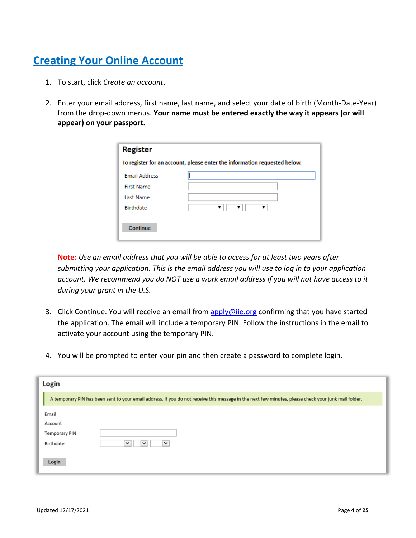# <span id="page-3-0"></span>**Creating Your Online Account**

- 1. To start, click *Create an account*.
- 2. Enter your email address, first name, last name, and select your date of birth (Month-Date-Year) from the drop-down menus. **Your name must be entered exactly the way it appears (or will appear) on your passport.**

| <b>Register</b>                                                           |  |  |  |
|---------------------------------------------------------------------------|--|--|--|
| To register for an account, please enter the information requested below. |  |  |  |
| <b>Email Address</b>                                                      |  |  |  |
| <b>First Name</b>                                                         |  |  |  |
| Last Name                                                                 |  |  |  |
| Birthdate                                                                 |  |  |  |
| Continue                                                                  |  |  |  |

**Note:** *Use an email address that you will be able to access for at least two years after submitting your application. This is the email address you will use to log in to your application account. We recommend you do NOT use a work email address if you will not have access to it during your grant in the U.S.*

- 3. Click Continue. You will receive an email from [apply@iie.org](mailto:apply@iie.org) confirming that you have started the application. The email will include a temporary PIN. Follow the instructions in the email to activate your account using the temporary PIN.
- 4. You will be prompted to enter your pin and then create a password to complete login.

| Login         |                                                                                                                                                      |
|---------------|------------------------------------------------------------------------------------------------------------------------------------------------------|
|               | A temporary PIN has been sent to your email address. If you do not receive this message in the next few minutes, please check your junk mail folder. |
| Email         |                                                                                                                                                      |
| Account       |                                                                                                                                                      |
| Temporary PIN |                                                                                                                                                      |
| Birthdate     | $\checkmark$<br>$\check{~}$<br>$\checkmark$                                                                                                          |
| Login         |                                                                                                                                                      |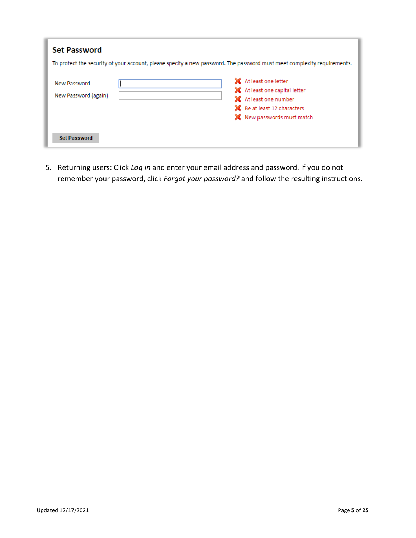| <b>Set Password</b>                  |                                                                                                                                               |
|--------------------------------------|-----------------------------------------------------------------------------------------------------------------------------------------------|
|                                      | To protect the security of your account, please specify a new password. The password must meet complexity requirements.                       |
| New Password<br>New Password (again) | X At least one letter<br>X At least one capital letter<br>X At least one number<br>SC Be at least 12 characters<br>X New passwords must match |
| <b>Set Password</b>                  |                                                                                                                                               |

5. Returning users: Click *Log in* and enter your email address and password. If you do not remember your password, click *Forgot your password?* and follow the resulting instructions.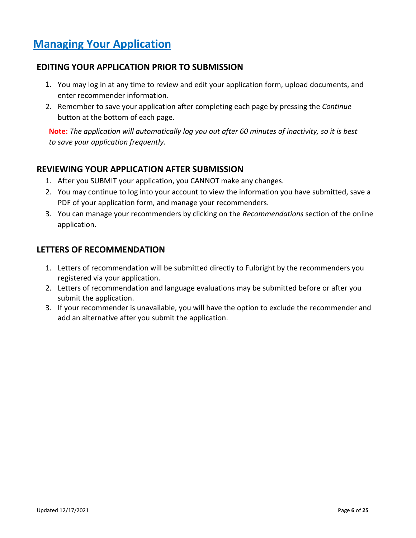# <span id="page-5-0"></span>**Managing Your Application**

### **EDITING YOUR APPLICATION PRIOR TO SUBMISSION**

- 1. You may log in at any time to review and edit your application form, upload documents, and enter recommender information.
- 2. Remember to save your application after completing each page by pressing the *Continue* button at the bottom of each page.

**Note:** *The application will automatically log you out after 60 minutes of inactivity, so it is best to save your application frequently.*

#### **REVIEWING YOUR APPLICATION AFTER SUBMISSION**

- 1. After you SUBMIT your application, you CANNOT make any changes.
- 2. You may continue to log into your account to view the information you have submitted, save a PDF of your application form, and manage your recommenders.
- 3. You can manage your recommenders by clicking on the *Recommendations* section of the online application.

#### **LETTERS OF RECOMMENDATION**

- 1. Letters of recommendation will be submitted directly to Fulbright by the recommenders you registered via your application.
- 2. Letters of recommendation and language evaluations may be submitted before or after you submit the application.
- 3. If your recommender is unavailable, you will have the option to exclude the recommender and add an alternative after you submit the application.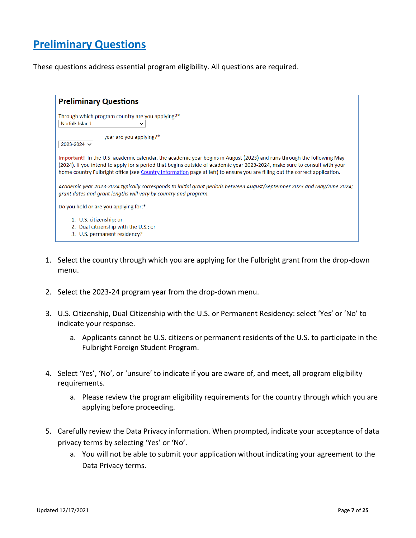# <span id="page-6-0"></span>**Preliminary Questions**

These questions address essential program eligibility. All questions are required.

| <b>Preliminary Questions</b>                                                                                                                                                                                                                                                                                                                                                        |  |
|-------------------------------------------------------------------------------------------------------------------------------------------------------------------------------------------------------------------------------------------------------------------------------------------------------------------------------------------------------------------------------------|--|
| Through which program country are you applying?*<br>Norfolk Island<br>$\check{ }$                                                                                                                                                                                                                                                                                                   |  |
| /ear are you applying?*<br>2023-2024 $\vee$                                                                                                                                                                                                                                                                                                                                         |  |
| Important! In the U.S. academic calendar, the academic year begins in August (2023) and runs through the following May<br>(2024). If you intend to apply for a period that begins outside of academic year 2023-2024, make sure to consult with your<br>home country Fulbright office (see Country Information page at left) to ensure you are filling out the correct application. |  |
| Academic year 2023-2024 typically corresponds to initial grant periods between August/September 2023 and May/June 2024;<br>grant dates and grant lengths will vary by country and program.                                                                                                                                                                                          |  |
| Do you hold or are you applying for:*                                                                                                                                                                                                                                                                                                                                               |  |
| 1. U.S. citizenship; or<br>2. Dual citizenship with the U.S.; or<br>3. U.S. permanent residency?                                                                                                                                                                                                                                                                                    |  |

- 1. Select the country through which you are applying for the Fulbright grant from the drop-down menu.
- 2. Select the 2023-24 program year from the drop-down menu.
- 3. U.S. Citizenship, Dual Citizenship with the U.S. or Permanent Residency: select 'Yes' or 'No' to indicate your response.
	- a. Applicants cannot be U.S. citizens or permanent residents of the U.S. to participate in the Fulbright Foreign Student Program.
- 4. Select 'Yes', 'No', or 'unsure' to indicate if you are aware of, and meet, all program eligibility requirements.
	- a. Please review the program eligibility requirements for the country through which you are applying before proceeding.
- 5. Carefully review the Data Privacy information. When prompted, indicate your acceptance of data privacy terms by selecting 'Yes' or 'No'.
	- a. You will not be able to submit your application without indicating your agreement to the Data Privacy terms.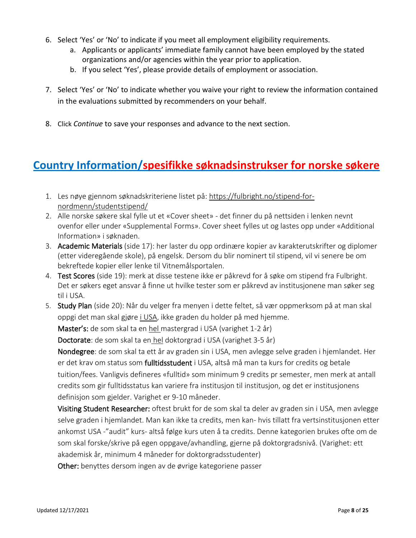- 6. Select 'Yes' or 'No' to indicate if you meet all employment eligibility requirements.
	- a. Applicants or applicants' immediate family cannot have been employed by the stated organizations and/or agencies within the year prior to application.
	- b. If you select 'Yes', please provide details of employment or association.
- 7. Select 'Yes' or 'No' to indicate whether you waive your right to review the information contained in the evaluations submitted by recommenders on your behalf.
- 8. Click *Continue* to save your responses and advance to the next section.

### <span id="page-7-0"></span>**Country Information/spesifikke søknadsinstrukser for norske søkere**

- 1. Les nøye gjennom søknadskriteriene listet på[: https://fulbright.no/stipend-for](https://fulbright.no/stipend-for-nordmenn/studentstipend/)[nordmenn/studentstipend/](https://fulbright.no/stipend-for-nordmenn/studentstipend/)
- 2. Alle norske søkere skal fylle ut et «Cover sheet» det finner du på nettsiden i lenken nevnt ovenfor eller under «Supplemental Forms». Cover sheet fylles ut og lastes opp under «Additional Information» i søknaden.
- 3. Academic Materials (side 17): her laster du opp ordinære kopier av karakterutskrifter og diplomer (etter videregående skole), på engelsk. Dersom du blir nominert til stipend, vil vi senere be om bekreftede kopier eller lenke til Vitnemålsportalen.
- 4. Test Scores (side 19): merk at disse testene ikke er påkrevd for å søke om stipend fra Fulbright. Det er søkers eget ansvar å finne ut hvilke tester som er påkrevd av institusjonene man søker seg til i USA.
- 5. Study Plan (side 20): Når du velger fra menyen i dette feltet, så vær oppmerksom på at man skal oppgi det man skal gjøre i USA, ikke graden du holder på med hjemme.

Master's: de som skal ta en hel mastergrad i USA (varighet 1-2 år)

Doctorate: de som skal ta en hel doktorgrad i USA (varighet 3-5 år)

Nondegree: de som skal ta ett år av graden sin i USA, men avlegge selve graden i hjemlandet. Her er det krav om status som **fulltidsstudent** i USA, altså må man ta kurs for credits og betale tuition/fees. Vanligvis defineres «fulltid» som minimum 9 credits pr semester, men merk at antall credits som gir fulltidsstatus kan variere fra institusjon til institusjon, og det er institusjonens definisjon som gjelder. Varighet er 9-10 måneder.

Visiting Student Researcher: oftest brukt for de som skal ta deler av graden sin i USA, men avlegge selve graden i hjemlandet. Man kan ikke ta credits, men kan- hvis tillatt fra vertsinstitusjonen etter ankomst USA -"audit" kurs- altså følge kurs uten å ta credits. Denne kategorien brukes ofte om de som skal forske/skrive på egen oppgave/avhandling, gjerne på doktorgradsnivå. (Varighet: ett akademisk år, minimum 4 måneder for doktorgradsstudenter)

Other: benyttes dersom ingen av de øvrige kategoriene passer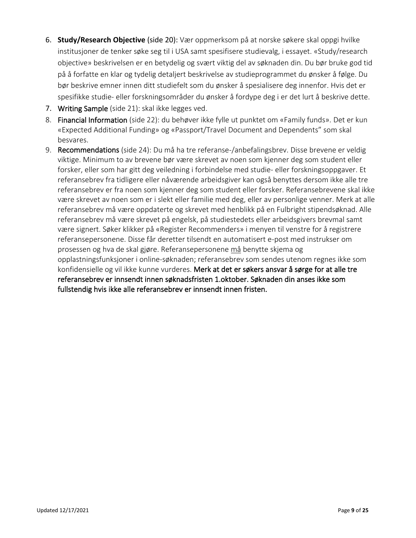- 6. **Study/Research Objective** (side 20): Vær oppmerksom på at norske søkere skal oppgi hvilke institusjoner de tenker søke seg til i USA samt spesifisere studievalg, i essayet. «Study/research objective» beskrivelsen er en betydelig og svært viktig del av søknaden din. Du bør bruke god tid på å forfatte en klar og tydelig detaljert beskrivelse av studieprogrammet du ønsker å følge. Du bør beskrive emner innen ditt studiefelt som du ønsker å spesialisere deg innenfor. Hvis det er spesifikke studie- eller forskningsområder du ønsker å fordype deg i er det lurt å beskrive dette.
- 7. Writing Sample (side 21): skal ikke legges ved.
- 8. Financial Information (side 22): du behøver ikke fylle ut punktet om «Family funds». Det er kun «Expected Additional Funding» og «Passport/Travel Document and Dependents" som skal besvares.
- 9. Recommendations (side 24): Du må ha tre referanse-/anbefalingsbrev. Disse brevene er veldig viktige. Minimum to av brevene bør være skrevet av noen som kjenner deg som student eller forsker, eller som har gitt deg veiledning i forbindelse med studie- eller forskningsoppgaver. Et referansebrev fra tidligere eller nåværende arbeidsgiver kan også benyttes dersom ikke alle tre referansebrev er fra noen som kjenner deg som student eller forsker. Referansebrevene skal ikke være skrevet av noen som er i slekt eller familie med deg, eller av personlige venner. Merk at alle referansebrev må være oppdaterte og skrevet med henblikk på en Fulbright stipendsøknad. Alle referansebrev må være skrevet på engelsk, på studiestedets eller arbeidsgivers brevmal samt være signert. Søker klikker på «Register Recommenders» i menyen til venstre for å registrere referansepersonene. Disse får deretter tilsendt en automatisert e-post med instrukser om prosessen og hva de skal gjøre. Referansepersonene må benytte skjema og opplastningsfunksjoner i online-søknaden; referansebrev som sendes utenom regnes ikke som konfidensielle og vil ikke kunne vurderes. Merk at det er søkers ansvar å sørge for at alle tre referansebrev er innsendt innen søknadsfristen 1.oktober. Søknaden din anses ikke som fullstendig hvis ikke alle referansebrev er innsendt innen fristen.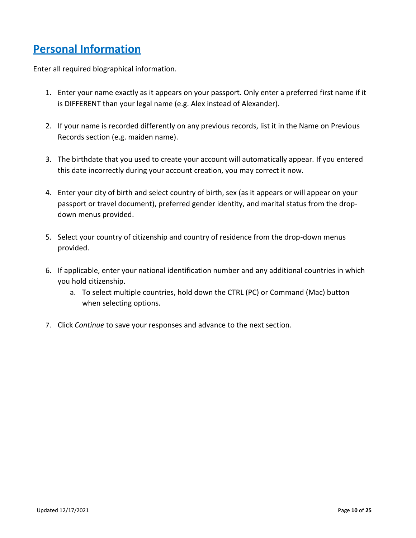# <span id="page-9-0"></span>**Personal Information**

Enter all required biographical information.

- 1. Enter your name exactly as it appears on your passport. Only enter a preferred first name if it is DIFFERENT than your legal name (e.g. Alex instead of Alexander).
- 2. If your name is recorded differently on any previous records, list it in the Name on Previous Records section (e.g. maiden name).
- 3. The birthdate that you used to create your account will automatically appear. If you entered this date incorrectly during your account creation, you may correct it now.
- 4. Enter your city of birth and select country of birth, sex (as it appears or will appear on your passport or travel document), preferred gender identity, and marital status from the dropdown menus provided.
- 5. Select your country of citizenship and country of residence from the drop-down menus provided.
- 6. If applicable, enter your national identification number and any additional countries in which you hold citizenship.
	- a. To select multiple countries, hold down the CTRL (PC) or Command (Mac) button when selecting options.
- 7. Click *Continue* to save your responses and advance to the next section.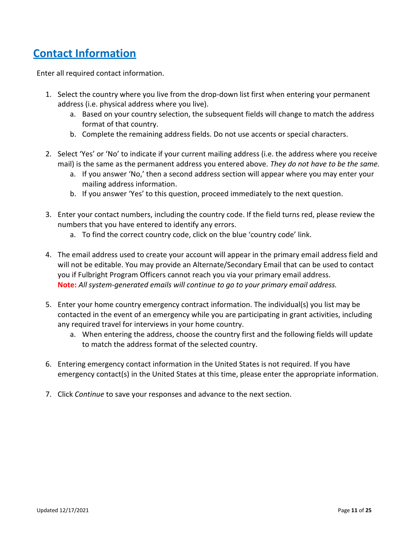# <span id="page-10-0"></span>**Contact Information**

Enter all required contact information.

- 1. Select the country where you live from the drop-down list first when entering your permanent address (i.e. physical address where you live).
	- a. Based on your country selection, the subsequent fields will change to match the address format of that country.
	- b. Complete the remaining address fields. Do not use accents or special characters.
- 2. Select 'Yes' or 'No' to indicate if your current mailing address (i.e. the address where you receive mail) is the same as the permanent address you entered above. *They do not have to be the same.* 
	- a. If you answer 'No,' then a second address section will appear where you may enter your mailing address information.
	- b. If you answer 'Yes' to this question, proceed immediately to the next question.
- 3. Enter your contact numbers, including the country code. If the field turns red, please review the numbers that you have entered to identify any errors.
	- a. To find the correct country code, click on the blue 'country code' link.
- 4. The email address used to create your account will appear in the primary email address field and will not be editable. You may provide an Alternate/Secondary Email that can be used to contact you if Fulbright Program Officers cannot reach you via your primary email address. **Note:** *All system-generated emails will continue to go to your primary email address.*
- 5. Enter your home country emergency contract information. The individual(s) you list may be contacted in the event of an emergency while you are participating in grant activities, including any required travel for interviews in your home country.
	- a. When entering the address, choose the country first and the following fields will update to match the address format of the selected country.
- 6. Entering emergency contact information in the United States is not required. If you have emergency contact(s) in the United States at this time, please enter the appropriate information.
- 7. Click *Continue* to save your responses and advance to the next section.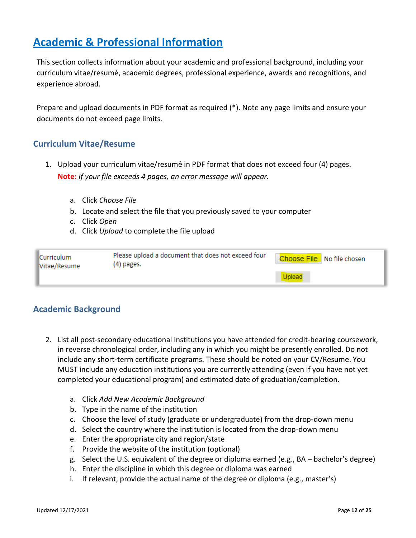# <span id="page-11-0"></span>**Academic & Professional Information**

This section collects information about your academic and professional background, including your curriculum vitae/resumé, academic degrees, professional experience, awards and recognitions, and experience abroad.

Prepare and upload documents in PDF format as required (\*). Note any page limits and ensure your documents do not exceed page limits.

### <span id="page-11-1"></span>**Curriculum Vitae/Resume**

- 1. Upload your curriculum vitae/resumé in PDF format that does not exceed four (4) pages. **Note:** *If your file exceeds 4 pages, an error message will appear.*
	- a. Click *Choose File*
	- b. Locate and select the file that you previously saved to your computer
	- c. Click *Open*
	- d. Click *Upload* to complete the file upload

| <b>Curriculum</b><br>lVitae/Resume | Please upload a document that does not exceed four<br>(4) pages. | Choose File No file chosen |
|------------------------------------|------------------------------------------------------------------|----------------------------|
|                                    |                                                                  | <b>Upload</b>              |

### <span id="page-11-2"></span>**Academic Background**

- 2. List all post-secondary educational institutions you have attended for credit-bearing coursework, in reverse chronological order, including any in which you might be presently enrolled. Do not include any short-term certificate programs. These should be noted on your CV/Resume. You MUST include any education institutions you are currently attending (even if you have not yet completed your educational program) and estimated date of graduation/completion.
	- a. Click *Add New Academic Background*
	- b. Type in the name of the institution
	- c. Choose the level of study (graduate or undergraduate) from the drop-down menu
	- d. Select the country where the institution is located from the drop-down menu
	- e. Enter the appropriate city and region/state
	- f. Provide the website of the institution (optional)
	- g. Select the U.S. equivalent of the degree or diploma earned (e.g., BA bachelor's degree)
	- h. Enter the discipline in which this degree or diploma was earned
	- i. If relevant, provide the actual name of the degree or diploma (e.g., master's)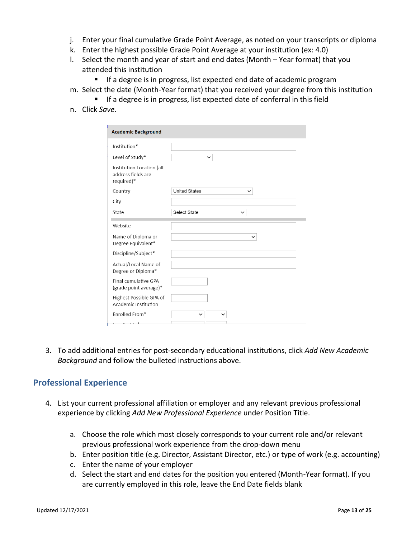- j. Enter your final cumulative Grade Point Average, as noted on your transcripts or diploma
- k. Enter the highest possible Grade Point Average at your institution (ex: 4.0)
- l. Select the month and year of start and end dates (Month Year format) that you attended this institution
	- If a degree is in progress, list expected end date of academic program
- m. Select the date (Month-Year format) that you received your degree from this institution
	- If a degree is in progress, list expected date of conferral in this field
- n. Click *Save*.

| <b>Academic Background</b>                                    |                             |
|---------------------------------------------------------------|-----------------------------|
| Institution*                                                  |                             |
| Level of Study*                                               | $\check{ }$                 |
| Institution Location (all<br>address fields are<br>required)* |                             |
| Country                                                       | <b>United States</b>        |
| City                                                          |                             |
| State                                                         | Select State<br>$\check{ }$ |
| Website                                                       |                             |
| Name of Diploma or<br>Degree Equivalent*                      | $\check{ }$                 |
| Discipline/Subject*                                           |                             |
| Actual/Local Name of<br>Degree or Diploma*                    |                             |
| Final cumulative GPA<br>(grade point average)*                |                             |
| Highest Possible GPA of<br>Academic Institution               |                             |
| Enrolled From*                                                | $\check{ }$<br>$\check{ }$  |

3. To add additional entries for post-secondary educational institutions, click *Add New Academic Background* and follow the bulleted instructions above.

#### <span id="page-12-0"></span>**Professional Experience**

- 4. List your current professional affiliation or employer and any relevant previous professional experience by clicking *Add New Professional Experience* under Position Title.
	- a. Choose the role which most closely corresponds to your current role and/or relevant previous professional work experience from the drop-down menu
	- b. Enter position title (e.g. Director, Assistant Director, etc.) or type of work (e.g. accounting)
	- c. Enter the name of your employer
	- d. Select the start and end dates for the position you entered (Month-Year format). If you are currently employed in this role, leave the End Date fields blank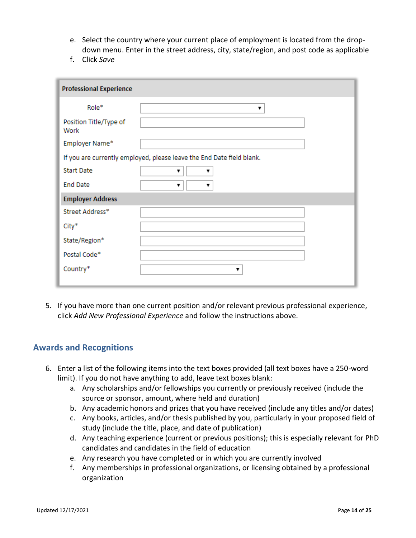- e. Select the country where your current place of employment is located from the dropdown menu. Enter in the street address, city, state/region, and post code as applicable
- f. Click *Save*

| <b>Professional Experience</b> |                                                                       |
|--------------------------------|-----------------------------------------------------------------------|
| Role*                          | ۷.                                                                    |
| Position Title/Type of<br>Work |                                                                       |
| Employer Name*                 |                                                                       |
|                                | If you are currently employed, please leave the End Date field blank. |
| <b>Start Date</b>              | ۷.<br>v                                                               |
| <b>End Date</b>                | ۷.<br>▼                                                               |
| <b>Employer Address</b>        |                                                                       |
| Street Address*                |                                                                       |
| City*                          |                                                                       |
| State/Region*                  |                                                                       |
| Postal Code*                   |                                                                       |
| Country*                       | ▼                                                                     |
|                                |                                                                       |

5. If you have more than one current position and/or relevant previous professional experience, click *Add New Professional Experience* and follow the instructions above.

#### <span id="page-13-0"></span>**Awards and Recognitions**

- 6. Enter a list of the following items into the text boxes provided (all text boxes have a 250-word limit). If you do not have anything to add, leave text boxes blank:
	- a. Any scholarships and/or fellowships you currently or previously received (include the source or sponsor, amount, where held and duration)
	- b. Any academic honors and prizes that you have received (include any titles and/or dates)
	- c. Any books, articles, and/or thesis published by you, particularly in your proposed field of study (include the title, place, and date of publication)
	- d. Any teaching experience (current or previous positions); this is especially relevant for PhD candidates and candidates in the field of education
	- e. Any research you have completed or in which you are currently involved
	- f. Any memberships in professional organizations, or licensing obtained by a professional organization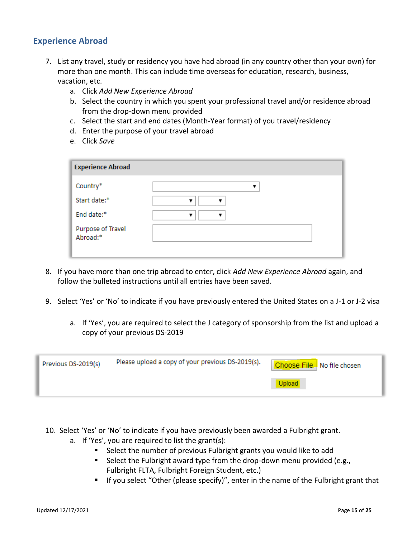### <span id="page-14-0"></span>**Experience Abroad**

- 7. List any travel, study or residency you have had abroad (in any country other than your own) for more than one month. This can include time overseas for education, research, business, vacation, etc.
	- a. Click *Add New Experience Abroad*
	- b. Select the country in which you spent your professional travel and/or residence abroad from the drop-down menu provided
	- c. Select the start and end dates (Month-Year format) of you travel/residency
	- d. Enter the purpose of your travel abroad
	- e. Click *Save*

| <b>Experience Abroad</b>      |   |
|-------------------------------|---|
| Country*                      |   |
| Start date:*                  | ۰ |
| End date:*                    |   |
| Purpose of Travel<br>Abroad:* |   |
|                               |   |

- 8. If you have more than one trip abroad to enter, click *Add New Experience Abroad* again, and follow the bulleted instructions until all entries have been saved.
- 9. Select 'Yes' or 'No' to indicate if you have previously entered the United States on a J-1 or J-2 visa
	- a. If 'Yes', you are required to select the J category of sponsorship from the list and upload a copy of your previous DS-2019

| Previous DS-2019(s) | Please upload a copy of your previous DS-2019(s). | Choose File No file chosen |
|---------------------|---------------------------------------------------|----------------------------|
|                     |                                                   |                            |

- 10. Select 'Yes' or 'No' to indicate if you have previously been awarded a Fulbright grant.
	- a. If 'Yes', you are required to list the grant(s):
		- Select the number of previous Fulbright grants you would like to add
		- Select the Fulbright award type from the drop-down menu provided (e.g., Fulbright FLTA, Fulbright Foreign Student, etc.)
		- If you select "Other (please specify)", enter in the name of the Fulbright grant that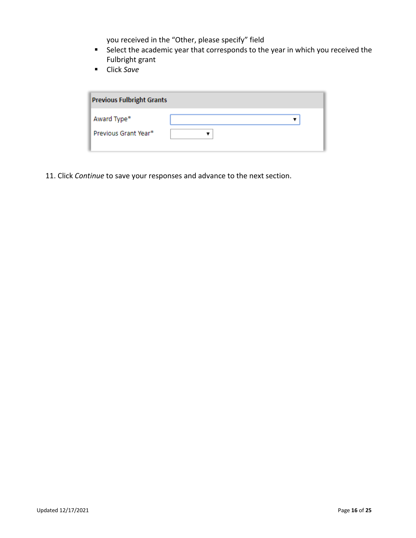you received in the "Other, please specify" field

- Select the academic year that corresponds to the year in which you received the Fulbright grant
- Click *Save*

| <b>Previous Fulbright Grants</b> |  |  |  |
|----------------------------------|--|--|--|
| Award Type*                      |  |  |  |
| Previous Grant Year*             |  |  |  |
|                                  |  |  |  |

11. Click *Continue* to save your responses and advance to the next section.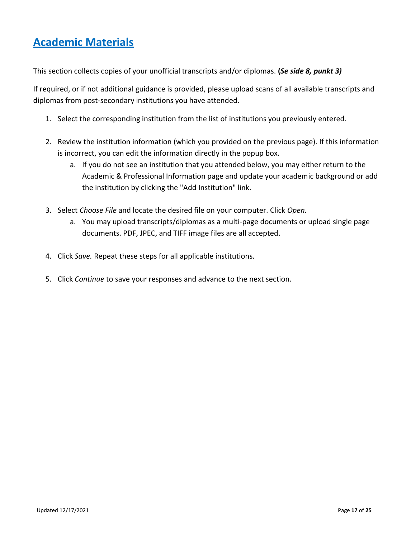# <span id="page-16-0"></span>**Academic Materials**

This section collects copies of your unofficial transcripts and/or diplomas. **(***Se side 8, punkt 3)*

If required, or if not additional guidance is provided, please upload scans of all available transcripts and diplomas from post-secondary institutions you have attended.

- 1. Select the corresponding institution from the list of institutions you previously entered.
- 2. Review the institution information (which you provided on the previous page). If this information is incorrect, you can edit the information directly in the popup box.
	- a. If you do not see an institution that you attended below, you may either return to the Academic & Professional Information page and update your academic background or add the institution by clicking the "Add Institution" link.
- 3. Select *Choose File* and locate the desired file on your computer. Click *Open.* 
	- a. You may upload transcripts/diplomas as a multi-page documents or upload single page documents. PDF, JPEC, and TIFF image files are all accepted.
- 4. Click *Save.* Repeat these steps for all applicable institutions.
- 5. Click *Continue* to save your responses and advance to the next section.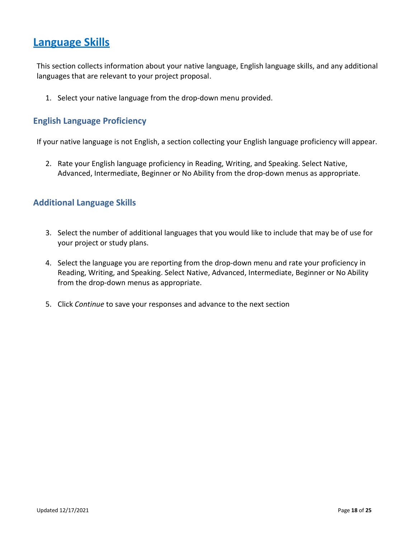### <span id="page-17-0"></span>**Language Skills**

This section collects information about your native language, English language skills, and any additional languages that are relevant to your project proposal.

1. Select your native language from the drop-down menu provided.

#### <span id="page-17-1"></span>**English Language Proficiency**

If your native language is not English, a section collecting your English language proficiency will appear.

2. Rate your English language proficiency in Reading, Writing, and Speaking. Select Native, Advanced, Intermediate, Beginner or No Ability from the drop-down menus as appropriate.

#### <span id="page-17-2"></span>**Additional Language Skills**

- 3. Select the number of additional languages that you would like to include that may be of use for your project or study plans.
- 4. Select the language you are reporting from the drop-down menu and rate your proficiency in Reading, Writing, and Speaking. Select Native, Advanced, Intermediate, Beginner or No Ability from the drop-down menus as appropriate.
- 5. Click *Continue* to save your responses and advance to the next section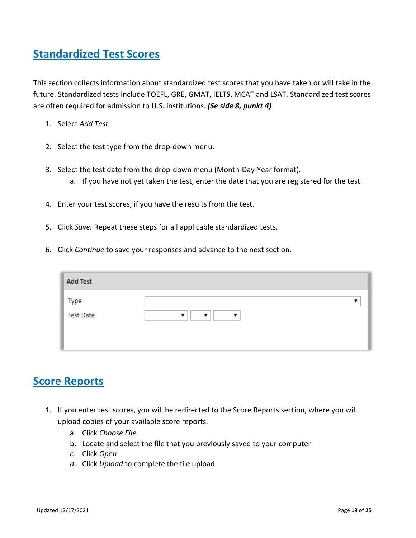# <span id="page-18-0"></span>**Standardized Test Scores**

This section collects information about standardized test scores that you have taken or will take in the future. Standardized tests include TOEFL, GRE, GMAT, IELTS, MCAT and LSAT. Standardized test scores are often required for admission to U.S. institutions. *(Se side 8, punkt 4)*

- 1. Select *Add Test.*
- 2. Select the test type from the drop-down menu.
- 3. Select the test date from the drop-down menu (Month-Day-Year format). a. If you have not yet taken the test, enter the date that you are registered for the test.
- 4. Enter your test scores, if you have the results from the test.
- 5. Click *Save.* Repeat these steps for all applicable standardized tests.
- 6. Click *Continue* to save your responses and advance to the next section.

| <b>Add Test</b>          |        |
|--------------------------|--------|
| Type<br><b>Test Date</b> | ▼<br>▼ |
|                          |        |

### <span id="page-18-1"></span>**Score Reports**

- 1. If you enter test scores, you will be redirected to the Score Reports section, where you will upload copies of your available score reports.
	- a. Click *Choose File*
	- b. Locate and select the file that you previously saved to your computer
	- *c.* Click *Open*
	- *d.* Click *Upload* to complete the file upload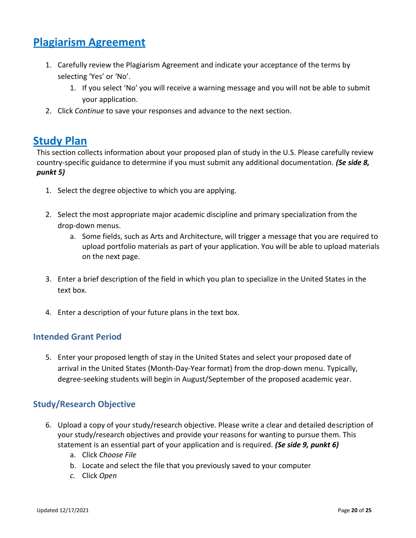## <span id="page-19-0"></span>**Plagiarism Agreement**

- 1. Carefully review the Plagiarism Agreement and indicate your acceptance of the terms by selecting 'Yes' or 'No'.
	- 1. If you select 'No' you will receive a warning message and you will not be able to submit your application.
- 2. Click *Continue* to save your responses and advance to the next section.

### <span id="page-19-1"></span>**Study Plan**

This section collects information about your proposed plan of study in the U.S. Please carefully review country-specific guidance to determine if you must submit any additional documentation. *(Se side 8, punkt 5)*

- 1. Select the degree objective to which you are applying.
- 2. Select the most appropriate major academic discipline and primary specialization from the drop-down menus.
	- a. Some fields, such as Arts and Architecture, will trigger a message that you are required to upload portfolio materials as part of your application. You will be able to upload materials on the next page.
- 3. Enter a brief description of the field in which you plan to specialize in the United States in the text box.
- 4. Enter a description of your future plans in the text box.

#### <span id="page-19-2"></span>**Intended Grant Period**

5. Enter your proposed length of stay in the United States and select your proposed date of arrival in the United States (Month-Day-Year format) from the drop-down menu. Typically, degree-seeking students will begin in August/September of the proposed academic year.

### <span id="page-19-3"></span>**Study/Research Objective**

- 6. Upload a copy of your study/research objective. Please write a clear and detailed description of your study/research objectives and provide your reasons for wanting to pursue them. This statement is an essential part of your application and is required. *(Se side 9, punkt 6)*
	- a. Click *Choose File*
	- b. Locate and select the file that you previously saved to your computer
	- *c.* Click *Open*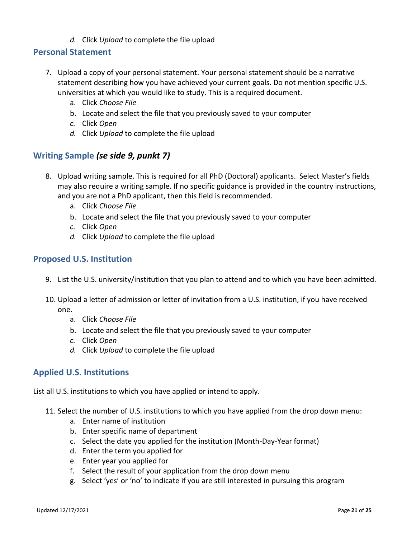*d.* Click *Upload* to complete the file upload

#### <span id="page-20-0"></span>**Personal Statement**

- 7. Upload a copy of your personal statement. Your personal statement should be a narrative statement describing how you have achieved your current goals. Do not mention specific U.S. universities at which you would like to study. This is a required document.
	- a. Click *Choose File*
	- b. Locate and select the file that you previously saved to your computer
	- *c.* Click *Open*
	- *d.* Click *Upload* to complete the file upload

### <span id="page-20-1"></span>**Writing Sample** *(se side 9, punkt 7)*

- 8. Upload writing sample. This is required for all PhD (Doctoral) applicants. Select Master's fields may also require a writing sample. If no specific guidance is provided in the country instructions, and you are not a PhD applicant, then this field is recommended.
	- a. Click *Choose File*
	- b. Locate and select the file that you previously saved to your computer
	- *c.* Click *Open*
	- *d.* Click *Upload* to complete the file upload

#### <span id="page-20-2"></span>**Proposed U.S. Institution**

- 9. List the U.S. university/institution that you plan to attend and to which you have been admitted.
- 10. Upload a letter of admission or letter of invitation from a U.S. institution, if you have received one.
	- a. Click *Choose File*
	- b. Locate and select the file that you previously saved to your computer
	- *c.* Click *Open*
	- *d.* Click *Upload* to complete the file upload

### **Applied U.S. Institutions**

List all U.S. institutions to which you have applied or intend to apply.

- 11. Select the number of U.S. institutions to which you have applied from the drop down menu:
	- a. Enter name of institution
	- b. Enter specific name of department
	- c. Select the date you applied for the institution (Month-Day-Year format)
	- d. Enter the term you applied for
	- e. Enter year you applied for
	- f. Select the result of your application from the drop down menu
	- g. Select 'yes' or 'no' to indicate if you are still interested in pursuing this program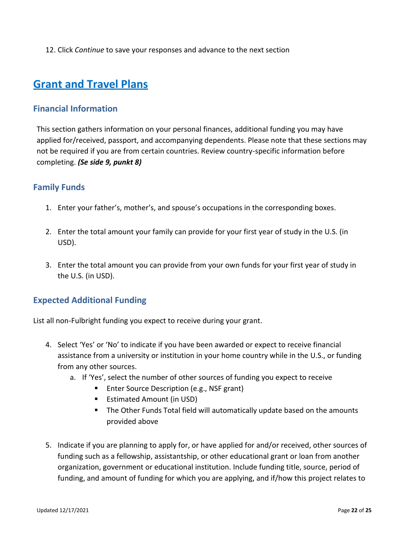12. Click *Continue* to save your responses and advance to the next section

## <span id="page-21-0"></span>**Grant and Travel Plans**

#### <span id="page-21-1"></span>**Financial Information**

This section gathers information on your personal finances, additional funding you may have applied for/received, passport, and accompanying dependents. Please note that these sections may not be required if you are from certain countries. Review country-specific information before completing. *(Se side 9, punkt 8)*

#### <span id="page-21-2"></span>**Family Funds**

- 1. Enter your father's, mother's, and spouse's occupations in the corresponding boxes.
- 2. Enter the total amount your family can provide for your first year of study in the U.S. (in USD).
- 3. Enter the total amount you can provide from your own funds for your first year of study in the U.S. (in USD).

### <span id="page-21-3"></span>**Expected Additional Funding**

List all non-Fulbright funding you expect to receive during your grant.

- 4. Select 'Yes' or 'No' to indicate if you have been awarded or expect to receive financial assistance from a university or institution in your home country while in the U.S., or funding from any other sources.
	- a. If 'Yes', select the number of other sources of funding you expect to receive
		- Enter Source Description (e.g., NSF grant)
		- Estimated Amount (in USD)
		- The Other Funds Total field will automatically update based on the amounts provided above
- 5. Indicate if you are planning to apply for, or have applied for and/or received, other sources of funding such as a fellowship, assistantship, or other educational grant or loan from another organization, government or educational institution. Include funding title, source, period of funding, and amount of funding for which you are applying, and if/how this project relates to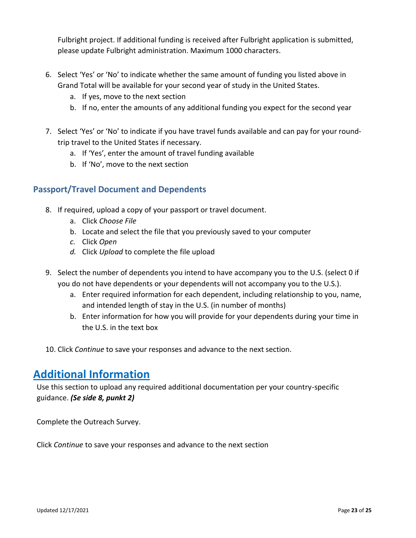Fulbright project. If additional funding is received after Fulbright application is submitted, please update Fulbright administration. Maximum 1000 characters.

- 6. Select 'Yes' or 'No' to indicate whether the same amount of funding you listed above in Grand Total will be available for your second year of study in the United States.
	- a. If yes, move to the next section
	- b. If no, enter the amounts of any additional funding you expect for the second year
- 7. Select 'Yes' or 'No' to indicate if you have travel funds available and can pay for your roundtrip travel to the United States if necessary.
	- a. If 'Yes', enter the amount of travel funding available
	- b. If 'No', move to the next section

### <span id="page-22-0"></span>**Passport/Travel Document and Dependents**

- 8. If required, upload a copy of your passport or travel document.
	- a. Click *Choose File*
	- b. Locate and select the file that you previously saved to your computer
	- *c.* Click *Open*
	- *d.* Click *Upload* to complete the file upload
- 9. Select the number of dependents you intend to have accompany you to the U.S. (select 0 if you do not have dependents or your dependents will not accompany you to the U.S.).
	- a. Enter required information for each dependent, including relationship to you, name, and intended length of stay in the U.S. (in number of months)
	- b. Enter information for how you will provide for your dependents during your time in the U.S. in the text box
- 10. Click *Continue* to save your responses and advance to the next section.

### <span id="page-22-1"></span>**Additional Information**

Use this section to upload any required additional documentation per your country-specific guidance. *(Se side 8, punkt 2)*

Complete the Outreach Survey.

<span id="page-22-2"></span>Click *Continue* to save your responses and advance to the next section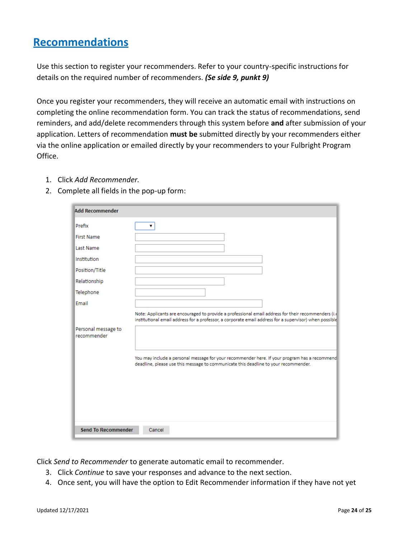### **Recommendations**

Use this section to register your recommenders. Refer to your country-specific instructions for details on the required number of recommenders. *(Se side 9, punkt 9)*

Once you register your recommenders, they will receive an automatic email with instructions on completing the online recommendation form. You can track the status of recommendations, send reminders, and add/delete recommenders through this system before **and** after submission of your application. Letters of recommendation **must be** submitted directly by your recommenders either via the online application or emailed directly by your recommenders to your Fulbright Program Office.

- 1. Click *Add Recommender.*
- 2. Complete all fields in the pop-up form:

| <b>Add Recommender</b>             |                                                                                                                                                                                                               |
|------------------------------------|---------------------------------------------------------------------------------------------------------------------------------------------------------------------------------------------------------------|
| Prefix                             |                                                                                                                                                                                                               |
| <b>First Name</b>                  |                                                                                                                                                                                                               |
| <b>Last Name</b>                   |                                                                                                                                                                                                               |
| <b>Institution</b>                 |                                                                                                                                                                                                               |
| Position/Title                     |                                                                                                                                                                                                               |
| Relationship                       |                                                                                                                                                                                                               |
| Telephone                          |                                                                                                                                                                                                               |
| Email                              |                                                                                                                                                                                                               |
|                                    | Note: Applicants are encouraged to provide a professional email address for their recommenders (i.e<br>institutional email address for a professor, a corporate email address for a supervisor) when possible |
| Personal message to<br>recommender |                                                                                                                                                                                                               |
|                                    | You may include a personal message for your recommender here. If your program has a recommend<br>deadline, please use this message to communicate this deadline to your recommender.                          |
| <b>Send To Recommender</b>         | Cancel                                                                                                                                                                                                        |

Click *Send to Recommender* to generate automatic email to recommender.

- 3. Click *Continue* to save your responses and advance to the next section.
- 4. Once sent, you will have the option to Edit Recommender information if they have not yet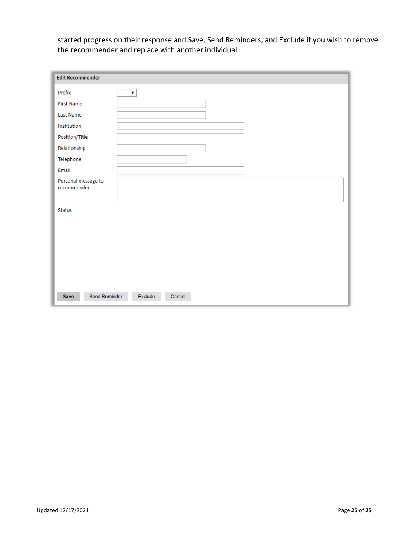started progress on their response and Save, Send Reminders, and Exclude if you wish to remove the recommender and replace with another individual.

| <b>Edit Recommender</b>            |                    |
|------------------------------------|--------------------|
| Prefix                             | $\pmb{\mathrm{v}}$ |
| <b>First Name</b>                  |                    |
| Last Name                          |                    |
| Institution                        |                    |
| Position/Title                     |                    |
| Relationship                       |                    |
| Telephone                          |                    |
| Email                              |                    |
| Personal message to<br>recommender |                    |
| <b>Status</b>                      |                    |
| Send Reminder<br>Save              | Exclude<br>Cancel  |